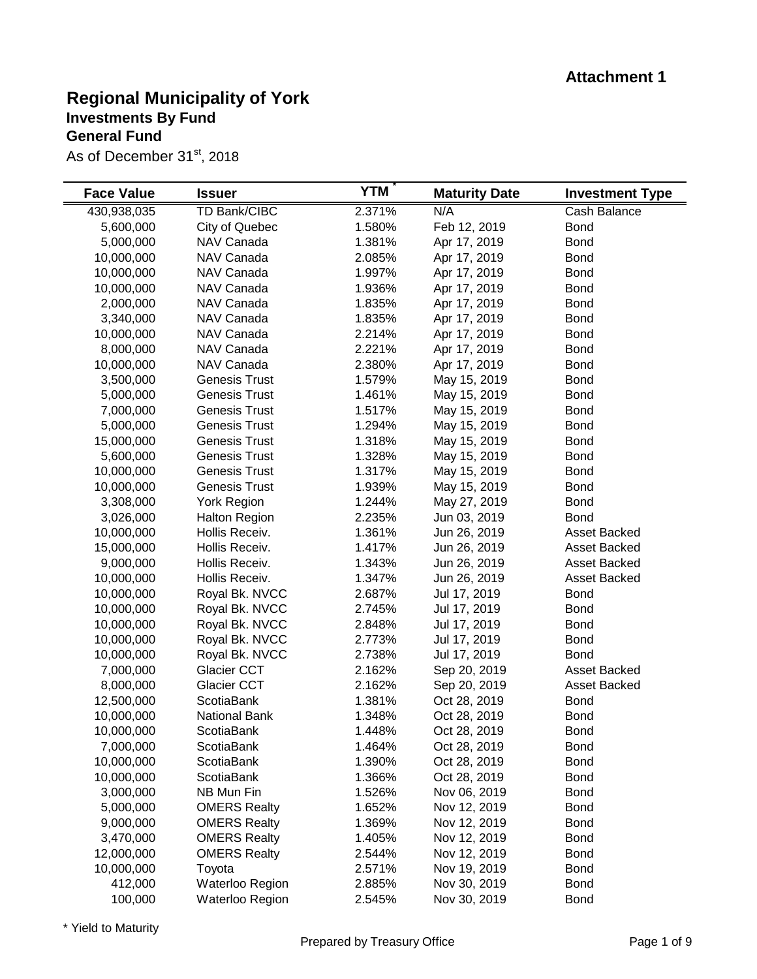| <b>Cash Balance</b><br><b>Bond</b><br><b>Bond</b><br><b>Bond</b><br><b>Bond</b> |
|---------------------------------------------------------------------------------|
|                                                                                 |
|                                                                                 |
|                                                                                 |
|                                                                                 |
|                                                                                 |
| <b>Bond</b>                                                                     |
| <b>Bond</b>                                                                     |
| <b>Bond</b>                                                                     |
| <b>Bond</b>                                                                     |
| <b>Bond</b>                                                                     |
| <b>Bond</b>                                                                     |
| <b>Bond</b>                                                                     |
| <b>Bond</b>                                                                     |
| <b>Bond</b>                                                                     |
| <b>Bond</b>                                                                     |
| <b>Bond</b>                                                                     |
| <b>Bond</b>                                                                     |
| <b>Bond</b>                                                                     |
| <b>Bond</b>                                                                     |
| <b>Bond</b>                                                                     |
| <b>Bond</b>                                                                     |
| Asset Backed                                                                    |
| Asset Backed                                                                    |
| Asset Backed                                                                    |
| Asset Backed                                                                    |
| <b>Bond</b>                                                                     |
| <b>Bond</b>                                                                     |
| <b>Bond</b>                                                                     |
| <b>Bond</b>                                                                     |
| <b>Bond</b>                                                                     |
| Asset Backed                                                                    |
| Asset Backed                                                                    |
| <b>Bond</b>                                                                     |
| <b>Bond</b>                                                                     |
| <b>Bond</b>                                                                     |
| <b>Bond</b>                                                                     |
| <b>Bond</b>                                                                     |
| <b>Bond</b>                                                                     |
| <b>Bond</b>                                                                     |
| <b>Bond</b>                                                                     |
| <b>Bond</b>                                                                     |
| <b>Bond</b>                                                                     |
| <b>Bond</b>                                                                     |
| <b>Bond</b>                                                                     |
| <b>Bond</b>                                                                     |
| <b>Bond</b>                                                                     |
|                                                                                 |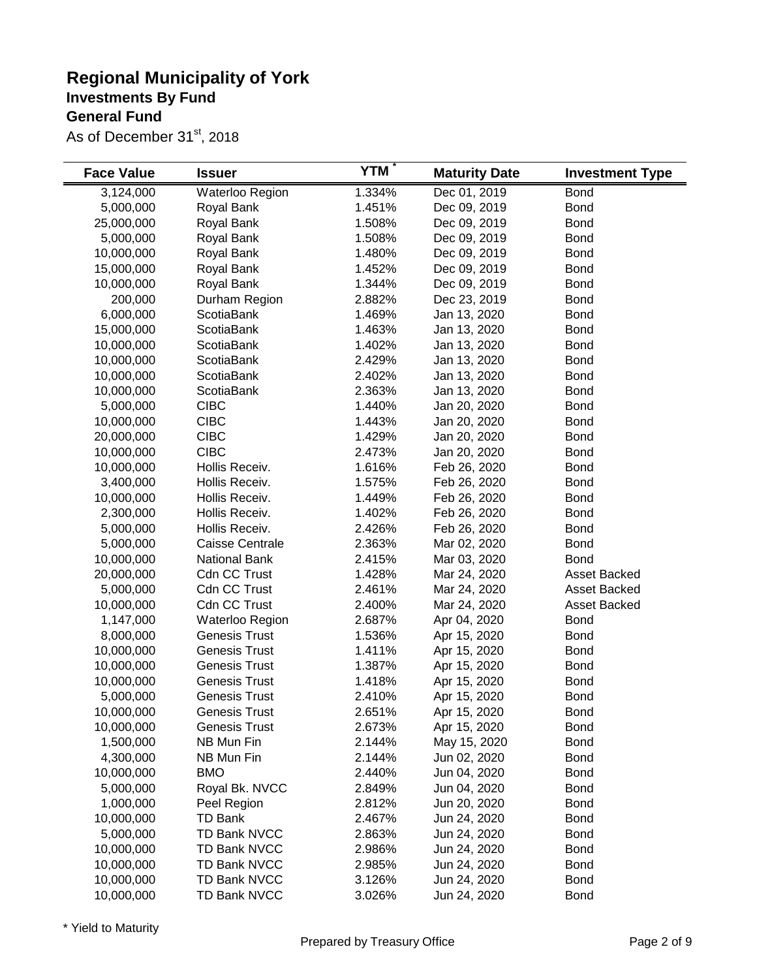| <b>Face Value</b> | <b>Issuer</b>        | <b>YTM</b> | <b>Maturity Date</b> | <b>Investment Type</b> |
|-------------------|----------------------|------------|----------------------|------------------------|
| 3,124,000         | Waterloo Region      | 1.334%     | Dec 01, 2019         | <b>Bond</b>            |
| 5,000,000         | Royal Bank           | 1.451%     | Dec 09, 2019         | <b>Bond</b>            |
| 25,000,000        | Royal Bank           | 1.508%     | Dec 09, 2019         | <b>Bond</b>            |
| 5,000,000         | Royal Bank           | 1.508%     | Dec 09, 2019         | <b>Bond</b>            |
| 10,000,000        | Royal Bank           | 1.480%     | Dec 09, 2019         | <b>Bond</b>            |
| 15,000,000        | Royal Bank           | 1.452%     | Dec 09, 2019         | <b>Bond</b>            |
| 10,000,000        | Royal Bank           | 1.344%     | Dec 09, 2019         | <b>Bond</b>            |
| 200,000           | Durham Region        | 2.882%     | Dec 23, 2019         | <b>Bond</b>            |
| 6,000,000         | <b>ScotiaBank</b>    | 1.469%     | Jan 13, 2020         | <b>Bond</b>            |
| 15,000,000        | ScotiaBank           | 1.463%     | Jan 13, 2020         | <b>Bond</b>            |
| 10,000,000        | ScotiaBank           | 1.402%     | Jan 13, 2020         | <b>Bond</b>            |
| 10,000,000        | ScotiaBank           | 2.429%     | Jan 13, 2020         | <b>Bond</b>            |
| 10,000,000        | ScotiaBank           | 2.402%     | Jan 13, 2020         | <b>Bond</b>            |
| 10,000,000        | ScotiaBank           | 2.363%     | Jan 13, 2020         | <b>Bond</b>            |
| 5,000,000         | <b>CIBC</b>          | 1.440%     | Jan 20, 2020         | <b>Bond</b>            |
| 10,000,000        | <b>CIBC</b>          | 1.443%     | Jan 20, 2020         | <b>Bond</b>            |
| 20,000,000        | <b>CIBC</b>          | 1.429%     | Jan 20, 2020         | <b>Bond</b>            |
| 10,000,000        | <b>CIBC</b>          | 2.473%     | Jan 20, 2020         | <b>Bond</b>            |
| 10,000,000        | Hollis Receiv.       | 1.616%     | Feb 26, 2020         | <b>Bond</b>            |
| 3,400,000         | Hollis Receiv.       | 1.575%     | Feb 26, 2020         | <b>Bond</b>            |
| 10,000,000        | Hollis Receiv.       | 1.449%     | Feb 26, 2020         | <b>Bond</b>            |
| 2,300,000         | Hollis Receiv.       | 1.402%     | Feb 26, 2020         | <b>Bond</b>            |
| 5,000,000         | Hollis Receiv.       | 2.426%     | Feb 26, 2020         | <b>Bond</b>            |
| 5,000,000         | Caisse Centrale      | 2.363%     | Mar 02, 2020         | <b>Bond</b>            |
| 10,000,000        | <b>National Bank</b> | 2.415%     | Mar 03, 2020         | <b>Bond</b>            |
| 20,000,000        | <b>Cdn CC Trust</b>  | 1.428%     | Mar 24, 2020         | Asset Backed           |
| 5,000,000         | Cdn CC Trust         | 2.461%     | Mar 24, 2020         | Asset Backed           |
| 10,000,000        | <b>Cdn CC Trust</b>  | 2.400%     | Mar 24, 2020         | <b>Asset Backed</b>    |
| 1,147,000         | Waterloo Region      | 2.687%     | Apr 04, 2020         | <b>Bond</b>            |
| 8,000,000         | <b>Genesis Trust</b> | 1.536%     | Apr 15, 2020         | <b>Bond</b>            |
| 10,000,000        | <b>Genesis Trust</b> | 1.411%     | Apr 15, 2020         | <b>Bond</b>            |
| 10,000,000        | <b>Genesis Trust</b> | 1.387%     | Apr 15, 2020         | <b>Bond</b>            |
| 10,000,000        | <b>Genesis Trust</b> | 1.418%     | Apr 15, 2020         | <b>Bond</b>            |
| 5,000,000         | <b>Genesis Trust</b> | 2.410%     | Apr 15, 2020         | <b>Bond</b>            |
| 10,000,000        | <b>Genesis Trust</b> | 2.651%     | Apr 15, 2020         | <b>Bond</b>            |
| 10,000,000        | <b>Genesis Trust</b> | 2.673%     | Apr 15, 2020         | <b>Bond</b>            |
| 1,500,000         | NB Mun Fin           | 2.144%     | May 15, 2020         | <b>Bond</b>            |
| 4,300,000         | NB Mun Fin           | 2.144%     | Jun 02, 2020         | <b>Bond</b>            |
| 10,000,000        | <b>BMO</b>           | 2.440%     | Jun 04, 2020         | <b>Bond</b>            |
| 5,000,000         | Royal Bk. NVCC       | 2.849%     | Jun 04, 2020         | <b>Bond</b>            |
| 1,000,000         | Peel Region          | 2.812%     | Jun 20, 2020         | <b>Bond</b>            |
| 10,000,000        | <b>TD Bank</b>       | 2.467%     | Jun 24, 2020         | <b>Bond</b>            |
| 5,000,000         | <b>TD Bank NVCC</b>  | 2.863%     | Jun 24, 2020         | <b>Bond</b>            |
| 10,000,000        | <b>TD Bank NVCC</b>  | 2.986%     | Jun 24, 2020         | <b>Bond</b>            |
| 10,000,000        | <b>TD Bank NVCC</b>  | 2.985%     | Jun 24, 2020         | <b>Bond</b>            |
| 10,000,000        | <b>TD Bank NVCC</b>  | 3.126%     | Jun 24, 2020         | <b>Bond</b>            |
| 10,000,000        | <b>TD Bank NVCC</b>  | 3.026%     | Jun 24, 2020         | <b>Bond</b>            |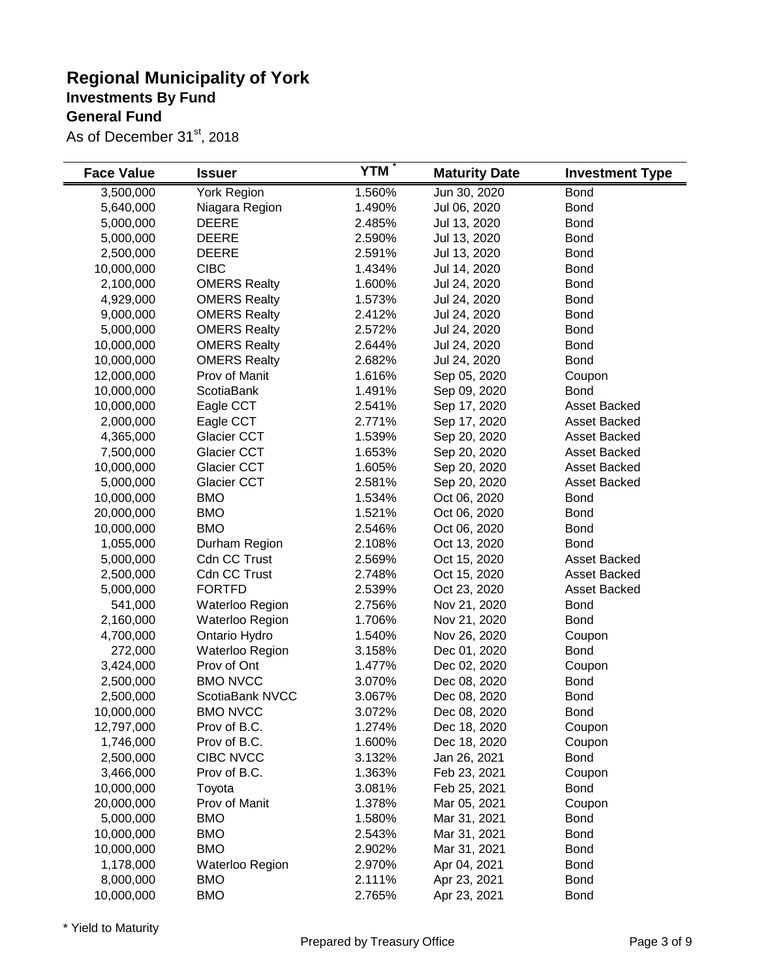| <b>Face Value</b> | <b>Issuer</b>       | <b>YTM</b> | <b>Maturity Date</b> | <b>Investment Type</b> |
|-------------------|---------------------|------------|----------------------|------------------------|
| 3,500,000         | York Region         | 1.560%     | Jun 30, 2020         | <b>Bond</b>            |
| 5,640,000         | Niagara Region      | 1.490%     | Jul 06, 2020         | <b>Bond</b>            |
| 5,000,000         | <b>DEERE</b>        | 2.485%     | Jul 13, 2020         | <b>Bond</b>            |
| 5,000,000         | <b>DEERE</b>        | 2.590%     | Jul 13, 2020         | <b>Bond</b>            |
| 2,500,000         | <b>DEERE</b>        | 2.591%     | Jul 13, 2020         | <b>Bond</b>            |
| 10,000,000        | <b>CIBC</b>         | 1.434%     | Jul 14, 2020         | <b>Bond</b>            |
| 2,100,000         | <b>OMERS Realty</b> | 1.600%     | Jul 24, 2020         | <b>Bond</b>            |
| 4,929,000         | <b>OMERS Realty</b> | 1.573%     | Jul 24, 2020         | <b>Bond</b>            |
| 9,000,000         | <b>OMERS Realty</b> | 2.412%     | Jul 24, 2020         | <b>Bond</b>            |
| 5,000,000         | <b>OMERS Realty</b> | 2.572%     | Jul 24, 2020         | <b>Bond</b>            |
| 10,000,000        | <b>OMERS Realty</b> | 2.644%     | Jul 24, 2020         | <b>Bond</b>            |
| 10,000,000        | <b>OMERS Realty</b> | 2.682%     | Jul 24, 2020         | <b>Bond</b>            |
| 12,000,000        | Prov of Manit       | 1.616%     | Sep 05, 2020         | Coupon                 |
| 10,000,000        | <b>ScotiaBank</b>   | 1.491%     | Sep 09, 2020         | <b>Bond</b>            |
| 10,000,000        | Eagle CCT           | 2.541%     | Sep 17, 2020         | Asset Backed           |
| 2,000,000         | Eagle CCT           | 2.771%     | Sep 17, 2020         | Asset Backed           |
| 4,365,000         | Glacier CCT         | 1.539%     | Sep 20, 2020         | Asset Backed           |
| 7,500,000         | Glacier CCT         | 1.653%     | Sep 20, 2020         | Asset Backed           |
| 10,000,000        | Glacier CCT         | 1.605%     | Sep 20, 2020         | Asset Backed           |
| 5,000,000         | Glacier CCT         | 2.581%     | Sep 20, 2020         | Asset Backed           |
| 10,000,000        | <b>BMO</b>          | 1.534%     | Oct 06, 2020         | <b>Bond</b>            |
| 20,000,000        | <b>BMO</b>          | 1.521%     | Oct 06, 2020         | <b>Bond</b>            |
| 10,000,000        | <b>BMO</b>          | 2.546%     | Oct 06, 2020         | <b>Bond</b>            |
| 1,055,000         | Durham Region       | 2.108%     | Oct 13, 2020         | <b>Bond</b>            |
| 5,000,000         | <b>Cdn CC Trust</b> | 2.569%     | Oct 15, 2020         | Asset Backed           |
| 2,500,000         | Cdn CC Trust        | 2.748%     | Oct 15, 2020         | Asset Backed           |
| 5,000,000         | <b>FORTFD</b>       | 2.539%     | Oct 23, 2020         | Asset Backed           |
| 541,000           | Waterloo Region     | 2.756%     | Nov 21, 2020         | <b>Bond</b>            |
| 2,160,000         | Waterloo Region     | 1.706%     | Nov 21, 2020         | <b>Bond</b>            |
| 4,700,000         | Ontario Hydro       | 1.540%     | Nov 26, 2020         | Coupon                 |
| 272,000           | Waterloo Region     | 3.158%     | Dec 01, 2020         | <b>Bond</b>            |
| 3,424,000         | Prov of Ont         | 1.477%     | Dec 02, 2020         | Coupon                 |
| 2,500,000         | <b>BMO NVCC</b>     | 3.070%     | Dec 08, 2020         | <b>Bond</b>            |
| 2,500,000         | ScotiaBank NVCC     | 3.067%     | Dec 08, 2020         | <b>Bond</b>            |
| 10,000,000        | <b>BMO NVCC</b>     | 3.072%     | Dec 08, 2020         | <b>Bond</b>            |
| 12,797,000        | Prov of B.C.        | 1.274%     | Dec 18, 2020         | Coupon                 |
| 1,746,000         | Prov of B.C.        | 1.600%     | Dec 18, 2020         | Coupon                 |
| 2,500,000         | CIBC NVCC           | 3.132%     | Jan 26, 2021         | <b>Bond</b>            |
| 3,466,000         | Prov of B.C.        | 1.363%     | Feb 23, 2021         | Coupon                 |
| 10,000,000        | Toyota              | 3.081%     | Feb 25, 2021         | <b>Bond</b>            |
| 20,000,000        | Prov of Manit       | 1.378%     | Mar 05, 2021         | Coupon                 |
| 5,000,000         | <b>BMO</b>          | 1.580%     | Mar 31, 2021         | <b>Bond</b>            |
| 10,000,000        | <b>BMO</b>          | 2.543%     | Mar 31, 2021         | <b>Bond</b>            |
| 10,000,000        | <b>BMO</b>          | 2.902%     | Mar 31, 2021         | <b>Bond</b>            |
| 1,178,000         | Waterloo Region     | 2.970%     | Apr 04, 2021         | <b>Bond</b>            |
| 8,000,000         | <b>BMO</b>          | 2.111%     | Apr 23, 2021         | <b>Bond</b>            |
| 10,000,000        | <b>BMO</b>          | 2.765%     | Apr 23, 2021         | <b>Bond</b>            |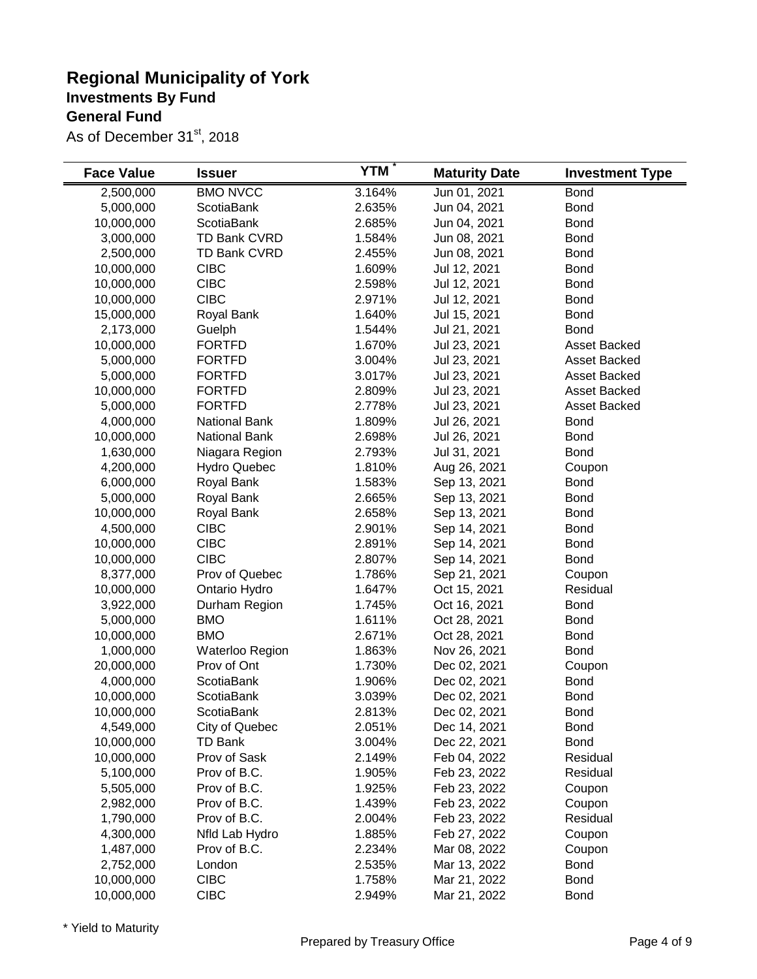| <b>Face Value</b> | <b>Issuer</b>                | <b>YTM</b> | <b>Maturity Date</b>         | <b>Investment Type</b> |
|-------------------|------------------------------|------------|------------------------------|------------------------|
| 2,500,000         | <b>BMO NVCC</b>              | 3.164%     | Jun 01, 2021                 | <b>Bond</b>            |
| 5,000,000         | ScotiaBank                   | 2.635%     | Jun 04, 2021                 | <b>Bond</b>            |
| 10,000,000        | ScotiaBank                   | 2.685%     | Jun 04, 2021                 | <b>Bond</b>            |
| 3,000,000         | TD Bank CVRD                 | 1.584%     | Jun 08, 2021                 | <b>Bond</b>            |
| 2,500,000         | TD Bank CVRD                 | 2.455%     | Jun 08, 2021                 | <b>Bond</b>            |
| 10,000,000        | <b>CIBC</b>                  | 1.609%     | Jul 12, 2021                 | <b>Bond</b>            |
| 10,000,000        | <b>CIBC</b>                  | 2.598%     | Jul 12, 2021                 | <b>Bond</b>            |
| 10,000,000        | <b>CIBC</b>                  | 2.971%     | Jul 12, 2021                 | <b>Bond</b>            |
| 15,000,000        | Royal Bank                   | 1.640%     | Jul 15, 2021                 | <b>Bond</b>            |
| 2,173,000         | Guelph                       | 1.544%     | Jul 21, 2021                 | <b>Bond</b>            |
| 10,000,000        | <b>FORTFD</b>                | 1.670%     | Jul 23, 2021                 | <b>Asset Backed</b>    |
| 5,000,000         | <b>FORTFD</b>                | 3.004%     | Jul 23, 2021                 | <b>Asset Backed</b>    |
| 5,000,000         | <b>FORTFD</b>                | 3.017%     | Jul 23, 2021                 | Asset Backed           |
| 10,000,000        | <b>FORTFD</b>                | 2.809%     | Jul 23, 2021                 | Asset Backed           |
| 5,000,000         | <b>FORTFD</b>                | 2.778%     | Jul 23, 2021                 | Asset Backed           |
| 4,000,000         | <b>National Bank</b>         | 1.809%     | Jul 26, 2021                 | <b>Bond</b>            |
| 10,000,000        | <b>National Bank</b>         | 2.698%     | Jul 26, 2021                 | <b>Bond</b>            |
| 1,630,000         | Niagara Region               | 2.793%     | Jul 31, 2021                 | <b>Bond</b>            |
| 4,200,000         | <b>Hydro Quebec</b>          | 1.810%     | Aug 26, 2021                 | Coupon                 |
| 6,000,000         | Royal Bank                   | 1.583%     | Sep 13, 2021                 | <b>Bond</b>            |
| 5,000,000         | Royal Bank                   | 2.665%     | Sep 13, 2021                 | <b>Bond</b>            |
| 10,000,000        | Royal Bank                   | 2.658%     | Sep 13, 2021                 | <b>Bond</b>            |
| 4,500,000         | <b>CIBC</b>                  | 2.901%     | Sep 14, 2021                 | <b>Bond</b>            |
| 10,000,000        | <b>CIBC</b>                  | 2.891%     | Sep 14, 2021                 | <b>Bond</b>            |
| 10,000,000        | <b>CIBC</b>                  | 2.807%     | Sep 14, 2021                 | <b>Bond</b>            |
| 8,377,000         | Prov of Quebec               | 1.786%     | Sep 21, 2021                 | Coupon                 |
| 10,000,000        | Ontario Hydro                | 1.647%     | Oct 15, 2021                 | Residual               |
| 3,922,000         | Durham Region                | 1.745%     | Oct 16, 2021                 | <b>Bond</b>            |
| 5,000,000         | <b>BMO</b>                   | 1.611%     | Oct 28, 2021                 | <b>Bond</b>            |
| 10,000,000        | <b>BMO</b>                   | 2.671%     | Oct 28, 2021                 | <b>Bond</b>            |
| 1,000,000         | Waterloo Region              | 1.863%     | Nov 26, 2021                 | <b>Bond</b>            |
| 20,000,000        | Prov of Ont                  | 1.730%     | Dec 02, 2021                 | Coupon                 |
| 4,000,000         | ScotiaBank                   | 1.906%     | Dec 02, 2021                 | <b>Bond</b>            |
| 10,000,000        | <b>ScotiaBank</b>            | 3.039%     | Dec 02, 2021                 | <b>Bond</b>            |
| 10,000,000        | <b>ScotiaBank</b>            | 2.813%     | Dec 02, 2021                 | <b>Bond</b>            |
| 4,549,000         | City of Quebec               | 2.051%     |                              | <b>Bond</b>            |
| 10,000,000        | <b>TD Bank</b>               | 3.004%     | Dec 14, 2021<br>Dec 22, 2021 | <b>Bond</b>            |
|                   |                              | 2.149%     |                              | Residual               |
| 10,000,000        | Prov of Sask<br>Prov of B.C. | 1.905%     | Feb 04, 2022                 |                        |
| 5,100,000         |                              |            | Feb 23, 2022                 | Residual               |
| 5,505,000         | Prov of B.C.<br>Prov of B.C. | 1.925%     | Feb 23, 2022                 | Coupon                 |
| 2,982,000         |                              | 1.439%     | Feb 23, 2022                 | Coupon                 |
| 1,790,000         | Prov of B.C.                 | 2.004%     | Feb 23, 2022                 | Residual               |
| 4,300,000         | Nfld Lab Hydro               | 1.885%     | Feb 27, 2022                 | Coupon                 |
| 1,487,000         | Prov of B.C.                 | 2.234%     | Mar 08, 2022                 | Coupon                 |
| 2,752,000         | London                       | 2.535%     | Mar 13, 2022                 | <b>Bond</b>            |
| 10,000,000        | <b>CIBC</b>                  | 1.758%     | Mar 21, 2022                 | <b>Bond</b>            |
| 10,000,000        | <b>CIBC</b>                  | 2.949%     | Mar 21, 2022                 | <b>Bond</b>            |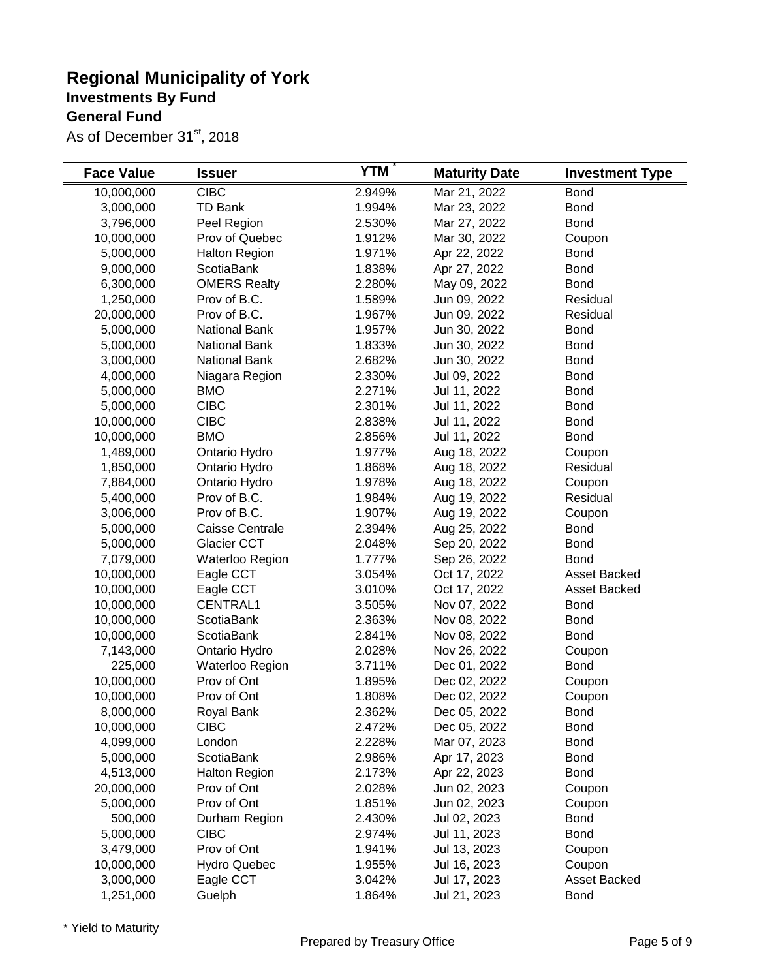| <b>Face Value</b> | <b>Issuer</b>        | <b>YTM</b> | <b>Maturity Date</b> | <b>Investment Type</b> |
|-------------------|----------------------|------------|----------------------|------------------------|
| 10,000,000        | <b>CIBC</b>          | 2.949%     | Mar 21, 2022         | <b>Bond</b>            |
| 3,000,000         | <b>TD Bank</b>       | 1.994%     | Mar 23, 2022         | <b>Bond</b>            |
| 3,796,000         | Peel Region          | 2.530%     | Mar 27, 2022         | <b>Bond</b>            |
| 10,000,000        | Prov of Quebec       | 1.912%     | Mar 30, 2022         | Coupon                 |
| 5,000,000         | <b>Halton Region</b> | 1.971%     | Apr 22, 2022         | <b>Bond</b>            |
| 9,000,000         | <b>ScotiaBank</b>    | 1.838%     | Apr 27, 2022         | <b>Bond</b>            |
| 6,300,000         | <b>OMERS Realty</b>  | 2.280%     | May 09, 2022         | <b>Bond</b>            |
| 1,250,000         | Prov of B.C.         | 1.589%     | Jun 09, 2022         | Residual               |
| 20,000,000        | Prov of B.C.         | 1.967%     | Jun 09, 2022         | Residual               |
| 5,000,000         | <b>National Bank</b> | 1.957%     | Jun 30, 2022         | <b>Bond</b>            |
| 5,000,000         | <b>National Bank</b> | 1.833%     | Jun 30, 2022         | <b>Bond</b>            |
| 3,000,000         | <b>National Bank</b> | 2.682%     | Jun 30, 2022         | <b>Bond</b>            |
| 4,000,000         | Niagara Region       | 2.330%     | Jul 09, 2022         | <b>Bond</b>            |
| 5,000,000         | <b>BMO</b>           | 2.271%     | Jul 11, 2022         | <b>Bond</b>            |
| 5,000,000         | <b>CIBC</b>          | 2.301%     | Jul 11, 2022         | <b>Bond</b>            |
| 10,000,000        | <b>CIBC</b>          | 2.838%     | Jul 11, 2022         | <b>Bond</b>            |
| 10,000,000        | <b>BMO</b>           | 2.856%     | Jul 11, 2022         | <b>Bond</b>            |
| 1,489,000         | Ontario Hydro        | 1.977%     | Aug 18, 2022         | Coupon                 |
| 1,850,000         | Ontario Hydro        | 1.868%     | Aug 18, 2022         | Residual               |
| 7,884,000         | Ontario Hydro        | 1.978%     | Aug 18, 2022         | Coupon                 |
| 5,400,000         | Prov of B.C.         | 1.984%     | Aug 19, 2022         | Residual               |
| 3,006,000         | Prov of B.C.         | 1.907%     | Aug 19, 2022         | Coupon                 |
| 5,000,000         | Caisse Centrale      | 2.394%     | Aug 25, 2022         | <b>Bond</b>            |
| 5,000,000         | Glacier CCT          | 2.048%     | Sep 20, 2022         | <b>Bond</b>            |
| 7,079,000         | Waterloo Region      | 1.777%     | Sep 26, 2022         | <b>Bond</b>            |
| 10,000,000        | Eagle CCT            | 3.054%     | Oct 17, 2022         | Asset Backed           |
| 10,000,000        | Eagle CCT            | 3.010%     | Oct 17, 2022         | Asset Backed           |
| 10,000,000        | <b>CENTRAL1</b>      | 3.505%     | Nov 07, 2022         | <b>Bond</b>            |
| 10,000,000        | ScotiaBank           | 2.363%     | Nov 08, 2022         | <b>Bond</b>            |
| 10,000,000        | ScotiaBank           | 2.841%     | Nov 08, 2022         | <b>Bond</b>            |
| 7,143,000         | Ontario Hydro        | 2.028%     | Nov 26, 2022         | Coupon                 |
| 225,000           | Waterloo Region      | 3.711%     | Dec 01, 2022         | <b>Bond</b>            |
| 10,000,000        | Prov of Ont          | 1.895%     | Dec 02, 2022         | Coupon                 |
| 10,000,000        | Prov of Ont          | 1.808%     | Dec 02, 2022         | Coupon                 |
| 8,000,000         | Royal Bank           | 2.362%     | Dec 05, 2022         | <b>Bond</b>            |
| 10,000,000        | <b>CIBC</b>          | 2.472%     | Dec 05, 2022         | <b>Bond</b>            |
| 4,099,000         | London               | 2.228%     | Mar 07, 2023         | <b>Bond</b>            |
| 5,000,000         | <b>ScotiaBank</b>    | 2.986%     | Apr 17, 2023         | <b>Bond</b>            |
| 4,513,000         | <b>Halton Region</b> | 2.173%     | Apr 22, 2023         | <b>Bond</b>            |
| 20,000,000        | Prov of Ont          | 2.028%     | Jun 02, 2023         | Coupon                 |
| 5,000,000         | Prov of Ont          | 1.851%     | Jun 02, 2023         | Coupon                 |
| 500,000           | Durham Region        | 2.430%     | Jul 02, 2023         | <b>Bond</b>            |
| 5,000,000         | <b>CIBC</b>          | 2.974%     | Jul 11, 2023         | <b>Bond</b>            |
| 3,479,000         | Prov of Ont          | 1.941%     | Jul 13, 2023         | Coupon                 |
| 10,000,000        | <b>Hydro Quebec</b>  | 1.955%     | Jul 16, 2023         | Coupon                 |
| 3,000,000         | Eagle CCT            | 3.042%     | Jul 17, 2023         | Asset Backed           |
| 1,251,000         | Guelph               | 1.864%     | Jul 21, 2023         | <b>Bond</b>            |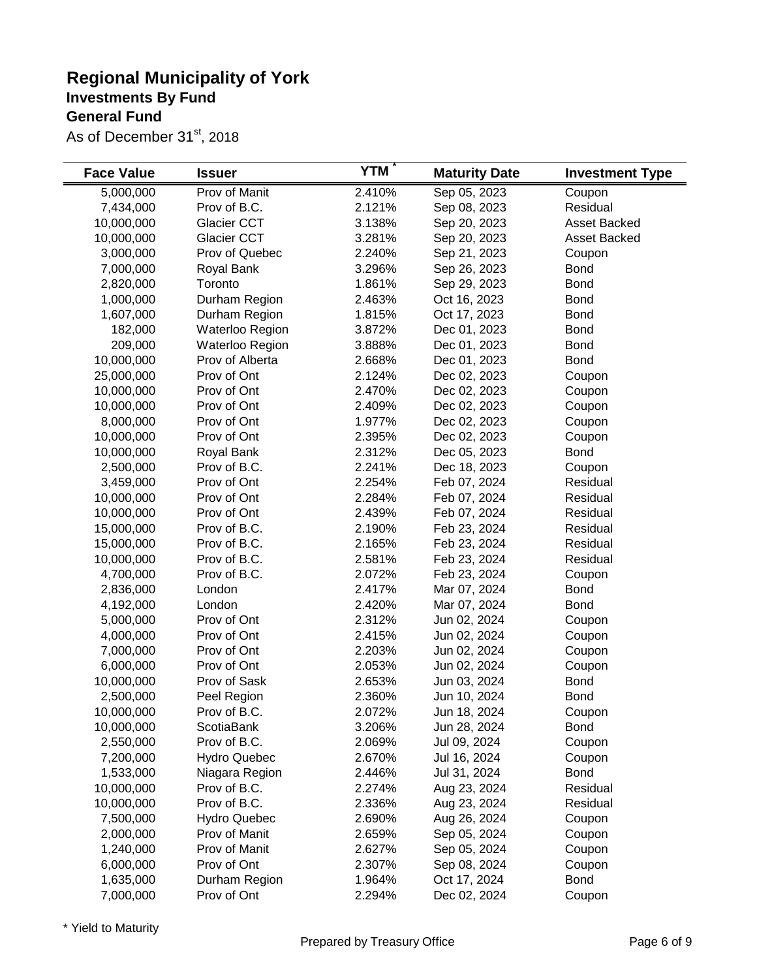| <b>Face Value</b> | <b>Issuer</b>       | <b>YTM</b> | <b>Maturity Date</b> | <b>Investment Type</b> |
|-------------------|---------------------|------------|----------------------|------------------------|
| 5,000,000         | Prov of Manit       | 2.410%     | Sep 05, 2023         | Coupon                 |
| 7,434,000         | Prov of B.C.        | 2.121%     | Sep 08, 2023         | Residual               |
| 10,000,000        | Glacier CCT         | 3.138%     | Sep 20, 2023         | Asset Backed           |
| 10,000,000        | Glacier CCT         | 3.281%     | Sep 20, 2023         | <b>Asset Backed</b>    |
| 3,000,000         | Prov of Quebec      | 2.240%     | Sep 21, 2023         | Coupon                 |
| 7,000,000         | Royal Bank          | 3.296%     | Sep 26, 2023         | <b>Bond</b>            |
| 2,820,000         | Toronto             | 1.861%     | Sep 29, 2023         | <b>Bond</b>            |
| 1,000,000         | Durham Region       | 2.463%     | Oct 16, 2023         | <b>Bond</b>            |
| 1,607,000         | Durham Region       | 1.815%     | Oct 17, 2023         | <b>Bond</b>            |
| 182,000           | Waterloo Region     | 3.872%     | Dec 01, 2023         | <b>Bond</b>            |
| 209,000           | Waterloo Region     | 3.888%     | Dec 01, 2023         | <b>Bond</b>            |
| 10,000,000        | Prov of Alberta     | 2.668%     | Dec 01, 2023         | <b>Bond</b>            |
| 25,000,000        | Prov of Ont         | 2.124%     | Dec 02, 2023         | Coupon                 |
| 10,000,000        | Prov of Ont         | 2.470%     | Dec 02, 2023         | Coupon                 |
| 10,000,000        | Prov of Ont         | 2.409%     | Dec 02, 2023         | Coupon                 |
| 8,000,000         | Prov of Ont         | 1.977%     | Dec 02, 2023         | Coupon                 |
| 10,000,000        | Prov of Ont         | 2.395%     | Dec 02, 2023         | Coupon                 |
| 10,000,000        | Royal Bank          | 2.312%     | Dec 05, 2023         | <b>Bond</b>            |
| 2,500,000         | Prov of B.C.        | 2.241%     | Dec 18, 2023         | Coupon                 |
| 3,459,000         | Prov of Ont         | 2.254%     | Feb 07, 2024         | Residual               |
| 10,000,000        | Prov of Ont         | 2.284%     | Feb 07, 2024         | Residual               |
| 10,000,000        | Prov of Ont         | 2.439%     | Feb 07, 2024         | Residual               |
| 15,000,000        | Prov of B.C.        | 2.190%     | Feb 23, 2024         | Residual               |
| 15,000,000        | Prov of B.C.        | 2.165%     | Feb 23, 2024         | Residual               |
| 10,000,000        | Prov of B.C.        | 2.581%     | Feb 23, 2024         | Residual               |
| 4,700,000         | Prov of B.C.        | 2.072%     | Feb 23, 2024         | Coupon                 |
| 2,836,000         | London              | 2.417%     | Mar 07, 2024         | <b>Bond</b>            |
| 4,192,000         | London              | 2.420%     | Mar 07, 2024         | <b>Bond</b>            |
| 5,000,000         | Prov of Ont         | 2.312%     | Jun 02, 2024         | Coupon                 |
| 4,000,000         | Prov of Ont         | 2.415%     | Jun 02, 2024         | Coupon                 |
| 7,000,000         | Prov of Ont         | 2.203%     | Jun 02, 2024         | Coupon                 |
| 6,000,000         | Prov of Ont         | 2.053%     | Jun 02, 2024         | Coupon                 |
| 10,000,000        | Prov of Sask        | 2.653%     | Jun 03, 2024         | <b>Bond</b>            |
| 2,500,000         | Peel Region         | 2.360%     | Jun 10, 2024         | <b>Bond</b>            |
| 10,000,000        | Prov of B.C.        | 2.072%     | Jun 18, 2024         | Coupon                 |
| 10,000,000        | ScotiaBank          | 3.206%     | Jun 28, 2024         | <b>Bond</b>            |
| 2,550,000         | Prov of B.C.        | 2.069%     | Jul 09, 2024         | Coupon                 |
| 7,200,000         | <b>Hydro Quebec</b> | 2.670%     | Jul 16, 2024         | Coupon                 |
| 1,533,000         | Niagara Region      | 2.446%     | Jul 31, 2024         | <b>Bond</b>            |
| 10,000,000        | Prov of B.C.        | 2.274%     | Aug 23, 2024         | Residual               |
| 10,000,000        | Prov of B.C.        | 2.336%     | Aug 23, 2024         | Residual               |
| 7,500,000         | <b>Hydro Quebec</b> | 2.690%     | Aug 26, 2024         | Coupon                 |
| 2,000,000         | Prov of Manit       | 2.659%     | Sep 05, 2024         | Coupon                 |
| 1,240,000         | Prov of Manit       | 2.627%     | Sep 05, 2024         | Coupon                 |
| 6,000,000         | Prov of Ont         | 2.307%     | Sep 08, 2024         | Coupon                 |
| 1,635,000         | Durham Region       | 1.964%     | Oct 17, 2024         | <b>Bond</b>            |
| 7,000,000         | Prov of Ont         | 2.294%     | Dec 02, 2024         | Coupon                 |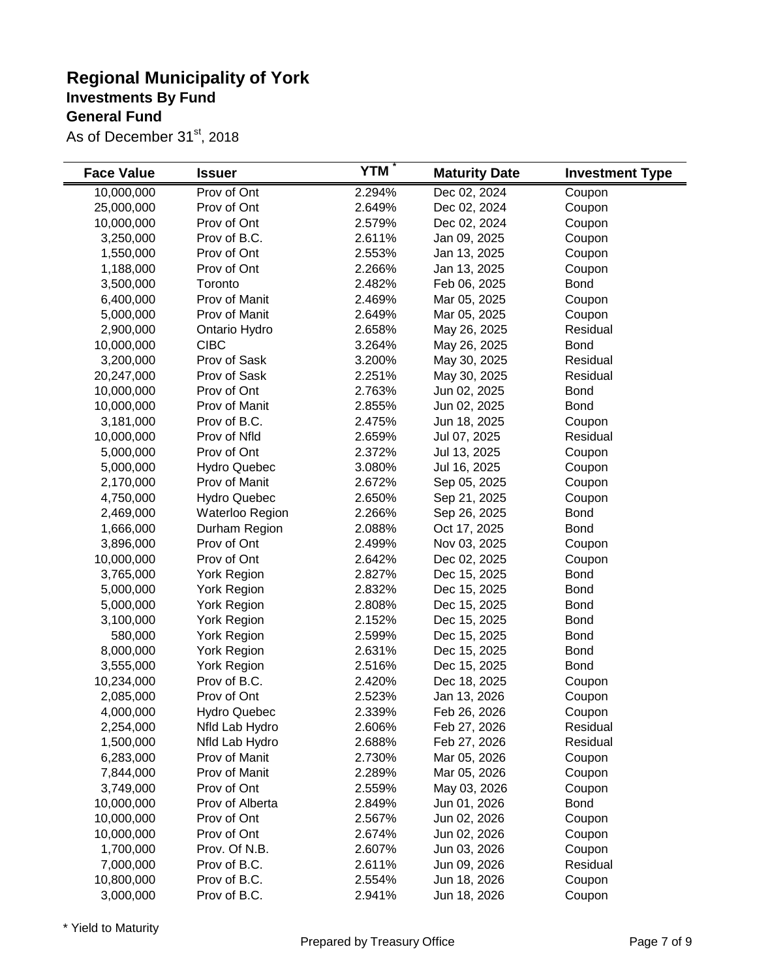| <b>Face Value</b> | <b>Issuer</b>       | <b>YTM</b> | <b>Maturity Date</b> | <b>Investment Type</b> |
|-------------------|---------------------|------------|----------------------|------------------------|
| 10,000,000        | Prov of Ont         | 2.294%     | Dec 02, 2024         | Coupon                 |
| 25,000,000        | Prov of Ont         | 2.649%     | Dec 02, 2024         | Coupon                 |
| 10,000,000        | Prov of Ont         | 2.579%     | Dec 02, 2024         | Coupon                 |
| 3,250,000         | Prov of B.C.        | 2.611%     | Jan 09, 2025         | Coupon                 |
| 1,550,000         | Prov of Ont         | 2.553%     | Jan 13, 2025         | Coupon                 |
| 1,188,000         | Prov of Ont         | 2.266%     | Jan 13, 2025         | Coupon                 |
| 3,500,000         | Toronto             | 2.482%     | Feb 06, 2025         | <b>Bond</b>            |
| 6,400,000         | Prov of Manit       | 2.469%     | Mar 05, 2025         | Coupon                 |
| 5,000,000         | Prov of Manit       | 2.649%     | Mar 05, 2025         | Coupon                 |
| 2,900,000         | Ontario Hydro       | 2.658%     | May 26, 2025         | Residual               |
| 10,000,000        | <b>CIBC</b>         | 3.264%     | May 26, 2025         | <b>Bond</b>            |
| 3,200,000         | Prov of Sask        | 3.200%     | May 30, 2025         | Residual               |
| 20,247,000        | Prov of Sask        | 2.251%     | May 30, 2025         | Residual               |
| 10,000,000        | Prov of Ont         | 2.763%     | Jun 02, 2025         | <b>Bond</b>            |
| 10,000,000        | Prov of Manit       | 2.855%     | Jun 02, 2025         | <b>Bond</b>            |
| 3,181,000         | Prov of B.C.        | 2.475%     | Jun 18, 2025         | Coupon                 |
| 10,000,000        | Prov of Nfld        | 2.659%     | Jul 07, 2025         | Residual               |
| 5,000,000         | Prov of Ont         | 2.372%     | Jul 13, 2025         | Coupon                 |
| 5,000,000         | <b>Hydro Quebec</b> | 3.080%     | Jul 16, 2025         | Coupon                 |
| 2,170,000         | Prov of Manit       | 2.672%     | Sep 05, 2025         | Coupon                 |
| 4,750,000         | <b>Hydro Quebec</b> | 2.650%     | Sep 21, 2025         | Coupon                 |
| 2,469,000         | Waterloo Region     | 2.266%     | Sep 26, 2025         | <b>Bond</b>            |
| 1,666,000         | Durham Region       | 2.088%     | Oct 17, 2025         | <b>Bond</b>            |
| 3,896,000         | Prov of Ont         | 2.499%     | Nov 03, 2025         | Coupon                 |
| 10,000,000        | Prov of Ont         | 2.642%     | Dec 02, 2025         | Coupon                 |
| 3,765,000         | <b>York Region</b>  | 2.827%     | Dec 15, 2025         | <b>Bond</b>            |
| 5,000,000         | <b>York Region</b>  | 2.832%     | Dec 15, 2025         | <b>Bond</b>            |
| 5,000,000         | York Region         | 2.808%     | Dec 15, 2025         | <b>Bond</b>            |
| 3,100,000         | York Region         | 2.152%     | Dec 15, 2025         | <b>Bond</b>            |
| 580,000           | York Region         | 2.599%     | Dec 15, 2025         | <b>Bond</b>            |
| 8,000,000         | York Region         | 2.631%     | Dec 15, 2025         | <b>Bond</b>            |
| 3,555,000         | York Region         | 2.516%     | Dec 15, 2025         | <b>Bond</b>            |
| 10,234,000        | Prov of B.C.        | 2.420%     | Dec 18, 2025         | Coupon                 |
| 2,085,000         | Prov of Ont         | 2.523%     | Jan 13, 2026         | Coupon                 |
| 4,000,000         | <b>Hydro Quebec</b> | 2.339%     | Feb 26, 2026         | Coupon                 |
| 2,254,000         | Nfld Lab Hydro      | 2.606%     | Feb 27, 2026         | Residual               |
| 1,500,000         | Nfld Lab Hydro      | 2.688%     | Feb 27, 2026         | Residual               |
| 6,283,000         | Prov of Manit       | 2.730%     | Mar 05, 2026         | Coupon                 |
| 7,844,000         | Prov of Manit       | 2.289%     | Mar 05, 2026         | Coupon                 |
| 3,749,000         | Prov of Ont         | 2.559%     | May 03, 2026         | Coupon                 |
| 10,000,000        | Prov of Alberta     | 2.849%     | Jun 01, 2026         | <b>Bond</b>            |
| 10,000,000        | Prov of Ont         | 2.567%     | Jun 02, 2026         | Coupon                 |
| 10,000,000        | Prov of Ont         | 2.674%     | Jun 02, 2026         | Coupon                 |
| 1,700,000         | Prov. Of N.B.       | 2.607%     | Jun 03, 2026         | Coupon                 |
| 7,000,000         | Prov of B.C.        | 2.611%     | Jun 09, 2026         | Residual               |
| 10,800,000        | Prov of B.C.        | 2.554%     | Jun 18, 2026         | Coupon                 |
| 3,000,000         | Prov of B.C.        | 2.941%     | Jun 18, 2026         | Coupon                 |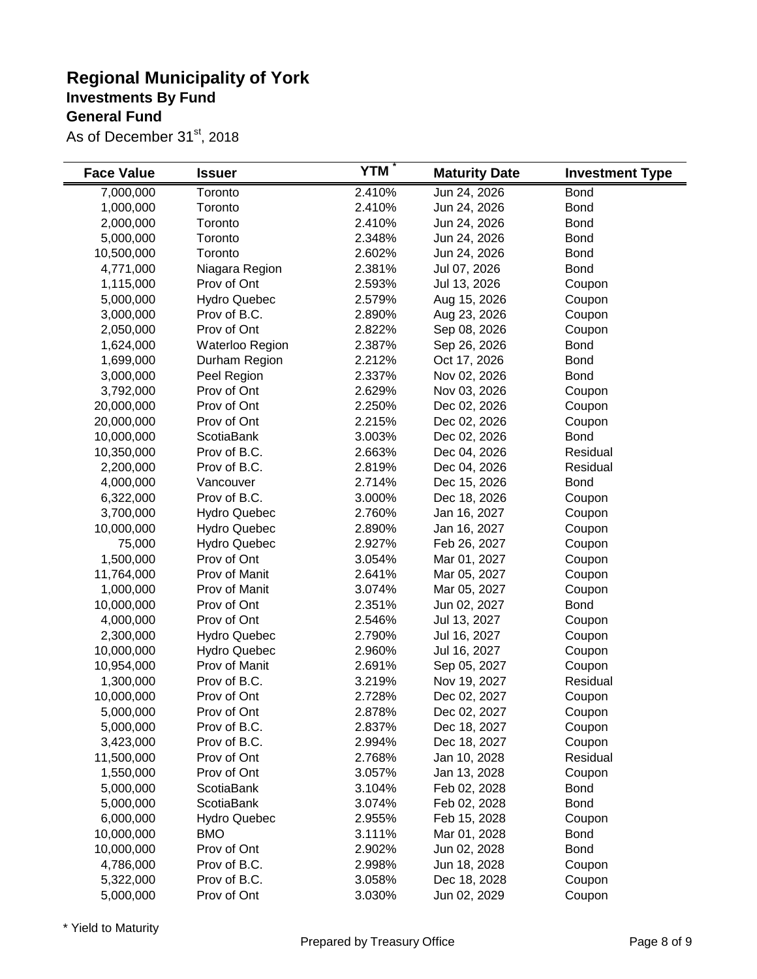| <b>Face Value</b> | <b>Issuer</b>       | <b>YTM</b> | <b>Maturity Date</b> | <b>Investment Type</b> |
|-------------------|---------------------|------------|----------------------|------------------------|
| 7,000,000         | Toronto             | 2.410%     | Jun 24, 2026         | <b>Bond</b>            |
| 1,000,000         | Toronto             | 2.410%     | Jun 24, 2026         | <b>Bond</b>            |
| 2,000,000         | Toronto             | 2.410%     | Jun 24, 2026         | <b>Bond</b>            |
| 5,000,000         | Toronto             | 2.348%     | Jun 24, 2026         | <b>Bond</b>            |
| 10,500,000        | Toronto             | 2.602%     | Jun 24, 2026         | <b>Bond</b>            |
| 4,771,000         | Niagara Region      | 2.381%     | Jul 07, 2026         | <b>Bond</b>            |
| 1,115,000         | Prov of Ont         | 2.593%     | Jul 13, 2026         | Coupon                 |
| 5,000,000         | <b>Hydro Quebec</b> | 2.579%     | Aug 15, 2026         | Coupon                 |
| 3,000,000         | Prov of B.C.        | 2.890%     | Aug 23, 2026         | Coupon                 |
| 2,050,000         | Prov of Ont         | 2.822%     | Sep 08, 2026         | Coupon                 |
| 1,624,000         | Waterloo Region     | 2.387%     | Sep 26, 2026         | <b>Bond</b>            |
| 1,699,000         | Durham Region       | 2.212%     | Oct 17, 2026         | <b>Bond</b>            |
| 3,000,000         | Peel Region         | 2.337%     | Nov 02, 2026         | <b>Bond</b>            |
| 3,792,000         | Prov of Ont         | 2.629%     | Nov 03, 2026         | Coupon                 |
| 20,000,000        | Prov of Ont         | 2.250%     | Dec 02, 2026         | Coupon                 |
| 20,000,000        | Prov of Ont         | 2.215%     | Dec 02, 2026         | Coupon                 |
| 10,000,000        | ScotiaBank          | 3.003%     | Dec 02, 2026         | <b>Bond</b>            |
| 10,350,000        | Prov of B.C.        | 2.663%     | Dec 04, 2026         | Residual               |
| 2,200,000         | Prov of B.C.        | 2.819%     | Dec 04, 2026         | Residual               |
| 4,000,000         | Vancouver           | 2.714%     | Dec 15, 2026         | <b>Bond</b>            |
| 6,322,000         | Prov of B.C.        | 3.000%     | Dec 18, 2026         | Coupon                 |
| 3,700,000         | <b>Hydro Quebec</b> | 2.760%     | Jan 16, 2027         | Coupon                 |
| 10,000,000        | <b>Hydro Quebec</b> | 2.890%     | Jan 16, 2027         | Coupon                 |
| 75,000            | <b>Hydro Quebec</b> | 2.927%     | Feb 26, 2027         | Coupon                 |
| 1,500,000         | Prov of Ont         | 3.054%     | Mar 01, 2027         | Coupon                 |
| 11,764,000        | Prov of Manit       | 2.641%     | Mar 05, 2027         | Coupon                 |
| 1,000,000         | Prov of Manit       | 3.074%     | Mar 05, 2027         | Coupon                 |
| 10,000,000        | Prov of Ont         | 2.351%     | Jun 02, 2027         | <b>Bond</b>            |
| 4,000,000         | Prov of Ont         | 2.546%     | Jul 13, 2027         | Coupon                 |
| 2,300,000         | <b>Hydro Quebec</b> | 2.790%     | Jul 16, 2027         | Coupon                 |
| 10,000,000        | <b>Hydro Quebec</b> | 2.960%     | Jul 16, 2027         | Coupon                 |
| 10,954,000        | Prov of Manit       | 2.691%     | Sep 05, 2027         | Coupon                 |
| 1,300,000         | Prov of B.C.        | 3.219%     | Nov 19, 2027         | Residual               |
| 10,000,000        | Prov of Ont         | 2.728%     | Dec 02, 2027         | Coupon                 |
| 5,000,000         | Prov of Ont         | 2.878%     | Dec 02, 2027         | Coupon                 |
| 5,000,000         | Prov of B.C.        | 2.837%     | Dec 18, 2027         | Coupon                 |
| 3,423,000         | Prov of B.C.        | 2.994%     | Dec 18, 2027         | Coupon                 |
| 11,500,000        | Prov of Ont         | 2.768%     | Jan 10, 2028         | Residual               |
| 1,550,000         | Prov of Ont         | 3.057%     | Jan 13, 2028         | Coupon                 |
| 5,000,000         | ScotiaBank          | 3.104%     | Feb 02, 2028         | <b>Bond</b>            |
| 5,000,000         | ScotiaBank          | 3.074%     | Feb 02, 2028         | <b>Bond</b>            |
| 6,000,000         | <b>Hydro Quebec</b> | 2.955%     | Feb 15, 2028         | Coupon                 |
| 10,000,000        | <b>BMO</b>          | 3.111%     | Mar 01, 2028         | <b>Bond</b>            |
| 10,000,000        | Prov of Ont         | 2.902%     | Jun 02, 2028         | <b>Bond</b>            |
| 4,786,000         | Prov of B.C.        | 2.998%     | Jun 18, 2028         | Coupon                 |
| 5,322,000         | Prov of B.C.        | 3.058%     | Dec 18, 2028         | Coupon                 |
| 5,000,000         | Prov of Ont         | 3.030%     | Jun 02, 2029         | Coupon                 |